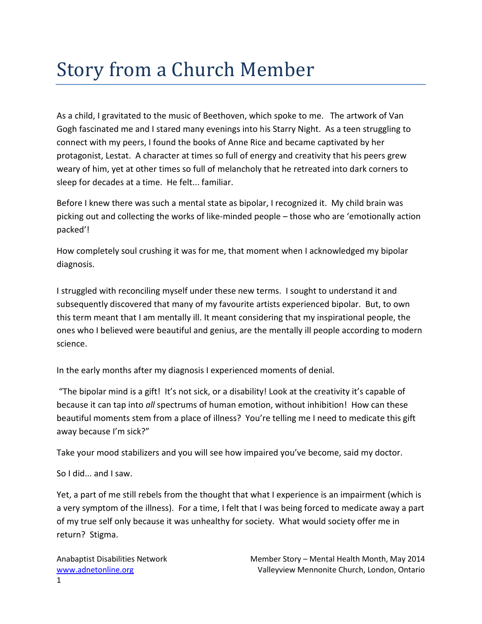## Story from a Church Member

As a child, I gravitated to the music of Beethoven, which spoke to me. The artwork of Van Gogh fascinated me and I stared many evenings into his Starry Night. As a teen struggling to connect with my peers, I found the books of Anne Rice and became captivated by her protagonist, Lestat. A character at times so full of energy and creativity that his peers grew weary of him, yet at other times so full of melancholy that he retreated into dark corners to sleep for decades at a time. He felt... familiar.

Before I knew there was such a mental state as bipolar, I recognized it. My child brain was picking out and collecting the works of like-minded people – those who are 'emotionally action packed'!

How completely soul crushing it was for me, that moment when I acknowledged my bipolar diagnosis.

I struggled with reconciling myself under these new terms. I sought to understand it and subsequently discovered that many of my favourite artists experienced bipolar. But, to own this term meant that I am mentally ill. It meant considering that my inspirational people, the ones who I believed were beautiful and genius, are the mentally ill people according to modern science.

In the early months after my diagnosis I experienced moments of denial.

 "The bipolar mind is a gift! It's not sick, or a disability! Look at the creativity it's capable of because it can tap into all spectrums of human emotion, without inhibition! How can these beautiful moments stem from a place of illness? You're telling me I need to medicate this gift away because I'm sick?"

Take your mood stabilizers and you will see how impaired you've become, said my doctor.

So I did... and I saw.

Yet, a part of me still rebels from the thought that what I experience is an impairment (which is a very symptom of the illness). For a time, I felt that I was being forced to medicate away a part of my true self only because it was unhealthy for society. What would society offer me in return? Stigma.

Anabaptist Disabilities Network Member Story – Mental Health Month, May 2014 www.adnetonline.org Valleyview Mennonite Church, London, Ontario